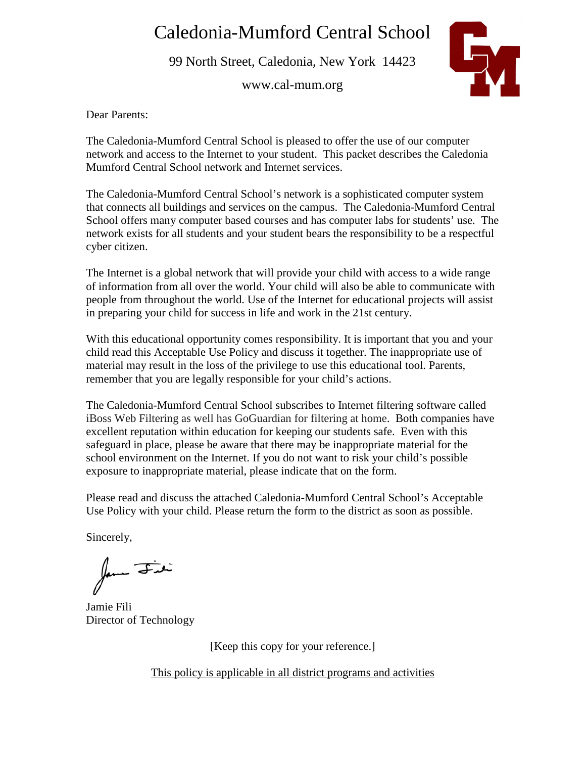# Caledonia-Mumford Central School

99 North Street, Caledonia, New York 14423

www.cal-mum.org



Dear Parents:

The Caledonia-Mumford Central School is pleased to offer the use of our computer network and access to the Internet to your student. This packet describes the Caledonia Mumford Central School network and Internet services.

The Caledonia-Mumford Central School's network is a sophisticated computer system that connects all buildings and services on the campus. The Caledonia-Mumford Central School offers many computer based courses and has computer labs for students' use. The network exists for all students and your student bears the responsibility to be a respectful cyber citizen.

The Internet is a global network that will provide your child with access to a wide range of information from all over the world. Your child will also be able to communicate with people from throughout the world. Use of the Internet for educational projects will assist in preparing your child for success in life and work in the 21st century.

With this educational opportunity comes responsibility. It is important that you and your child read this Acceptable Use Policy and discuss it together. The inappropriate use of material may result in the loss of the privilege to use this educational tool. Parents, remember that you are legally responsible for your child's actions.

The Caledonia-Mumford Central School subscribes to Internet filtering software called iBoss Web Filtering as well has GoGuardian for filtering at home. Both companies have excellent reputation within education for keeping our students safe. Even with this safeguard in place, please be aware that there may be inappropriate material for the school environment on the Internet. If you do not want to risk your child's possible exposure to inappropriate material, please indicate that on the form.

Please read and discuss the attached Caledonia-Mumford Central School's Acceptable Use Policy with your child. Please return the form to the district as soon as possible.

Sincerely,

form Fit

Jamie Fili Director of Technology

[Keep this copy for your reference.]

This policy is applicable in all district programs and activities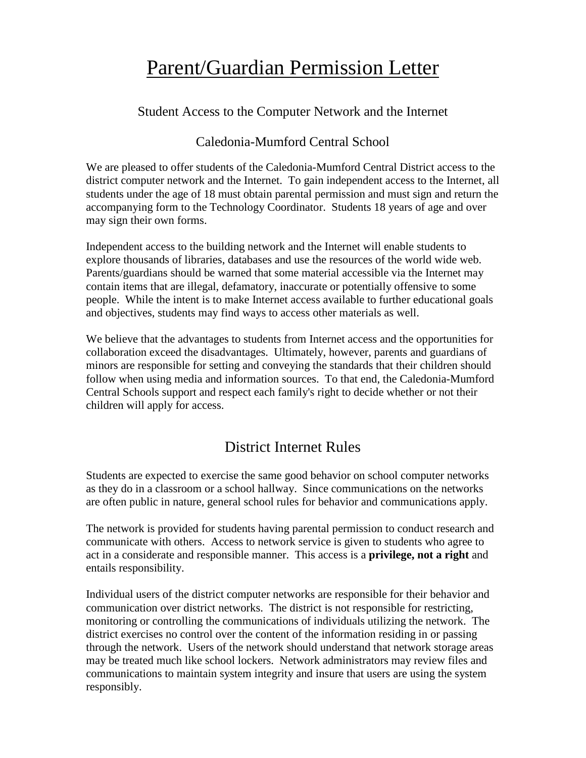# Parent/Guardian Permission Letter

Student Access to the Computer Network and the Internet

# Caledonia-Mumford Central School

We are pleased to offer students of the Caledonia-Mumford Central District access to the district computer network and the Internet. To gain independent access to the Internet, all students under the age of 18 must obtain parental permission and must sign and return the accompanying form to the Technology Coordinator. Students 18 years of age and over may sign their own forms.

Independent access to the building network and the Internet will enable students to explore thousands of libraries, databases and use the resources of the world wide web. Parents/guardians should be warned that some material accessible via the Internet may contain items that are illegal, defamatory, inaccurate or potentially offensive to some people. While the intent is to make Internet access available to further educational goals and objectives, students may find ways to access other materials as well.

We believe that the advantages to students from Internet access and the opportunities for collaboration exceed the disadvantages. Ultimately, however, parents and guardians of minors are responsible for setting and conveying the standards that their children should follow when using media and information sources. To that end, the Caledonia-Mumford Central Schools support and respect each family's right to decide whether or not their children will apply for access.

# District Internet Rules

Students are expected to exercise the same good behavior on school computer networks as they do in a classroom or a school hallway. Since communications on the networks are often public in nature, general school rules for behavior and communications apply.

The network is provided for students having parental permission to conduct research and communicate with others. Access to network service is given to students who agree to act in a considerate and responsible manner. This access is a **privilege, not a right** and entails responsibility.

Individual users of the district computer networks are responsible for their behavior and communication over district networks. The district is not responsible for restricting, monitoring or controlling the communications of individuals utilizing the network. The district exercises no control over the content of the information residing in or passing through the network. Users of the network should understand that network storage areas may be treated much like school lockers. Network administrators may review files and communications to maintain system integrity and insure that users are using the system responsibly.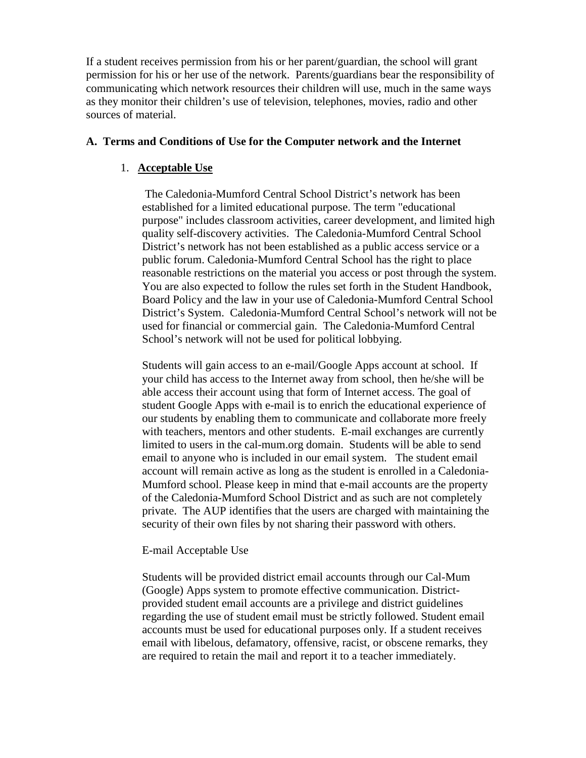If a student receives permission from his or her parent/guardian, the school will grant permission for his or her use of the network. Parents/guardians bear the responsibility of communicating which network resources their children will use, much in the same ways as they monitor their children's use of television, telephones, movies, radio and other sources of material.

#### **A. Terms and Conditions of Use for the Computer network and the Internet**

#### 1. **Acceptable Use**

The Caledonia-Mumford Central School District's network has been established for a limited educational purpose. The term "educational purpose" includes classroom activities, career development, and limited high quality self-discovery activities. The Caledonia-Mumford Central School District's network has not been established as a public access service or a public forum. Caledonia-Mumford Central School has the right to place reasonable restrictions on the material you access or post through the system. You are also expected to follow the rules set forth in the Student Handbook, Board Policy and the law in your use of Caledonia-Mumford Central School District's System. Caledonia-Mumford Central School's network will not be used for financial or commercial gain. The Caledonia-Mumford Central School's network will not be used for political lobbying.

Students will gain access to an e-mail/Google Apps account at school. If your child has access to the Internet away from school, then he/she will be able access their account using that form of Internet access. The goal of student Google Apps with e-mail is to enrich the educational experience of our students by enabling them to communicate and collaborate more freely with teachers, mentors and other students. E-mail exchanges are currently limited to users in the cal-mum.org domain. Students will be able to send email to anyone who is included in our email system. The student email account will remain active as long as the student is enrolled in a Caledonia-Mumford school. Please keep in mind that e-mail accounts are the property of the Caledonia-Mumford School District and as such are not completely private. The AUP identifies that the users are charged with maintaining the security of their own files by not sharing their password with others.

# E-mail Acceptable Use

Students will be provided district email accounts through our Cal-Mum (Google) Apps system to promote effective communication. Districtprovided student email accounts are a privilege and district guidelines regarding the use of student email must be strictly followed. Student email accounts must be used for educational purposes only. If a student receives email with libelous, defamatory, offensive, racist, or obscene remarks, they are required to retain the mail and report it to a teacher immediately.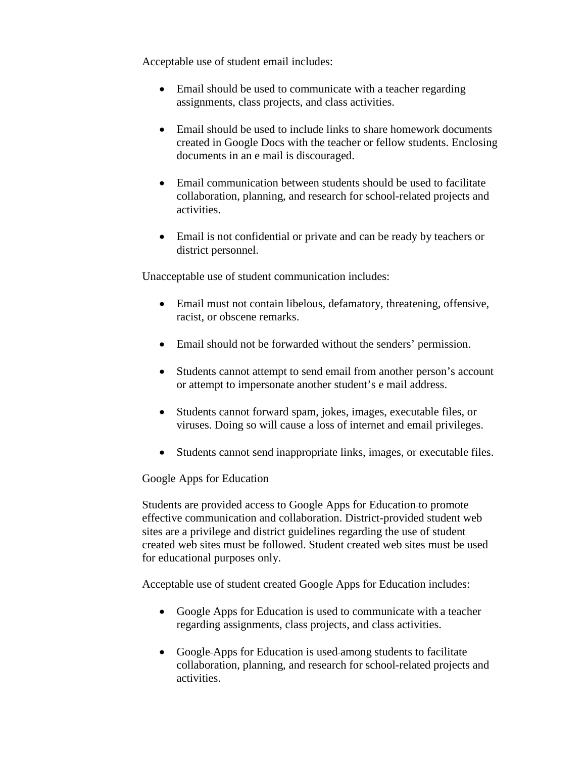Acceptable use of student email includes:

- Email should be used to communicate with a teacher regarding assignments, class projects, and class activities.
- Email should be used to include links to share homework documents created in Google Docs with the teacher or fellow students. Enclosing documents in an e mail is discouraged.
- Email communication between students should be used to facilitate collaboration, planning, and research for school-related projects and activities.
- Email is not confidential or private and can be ready by teachers or district personnel.

Unacceptable use of student communication includes:

- Email must not contain libelous, defamatory, threatening, offensive, racist, or obscene remarks.
- Email should not be forwarded without the senders' permission.
- Students cannot attempt to send email from another person's account or attempt to impersonate another student's e mail address.
- Students cannot forward spam, jokes, images, executable files, or viruses. Doing so will cause a loss of internet and email privileges.
- Students cannot send inappropriate links, images, or executable files.

# Google Apps for Education

Students are provided access to Google Apps for Education to promote effective communication and collaboration. District-provided student web sites are a privilege and district guidelines regarding the use of student created web sites must be followed. Student created web sites must be used for educational purposes only.

Acceptable use of student created Google Apps for Education includes:

- Google Apps for Education is used to communicate with a teacher regarding assignments, class projects, and class activities.
- Google-Apps for Education is used-among students to facilitate collaboration, planning, and research for school-related projects and activities.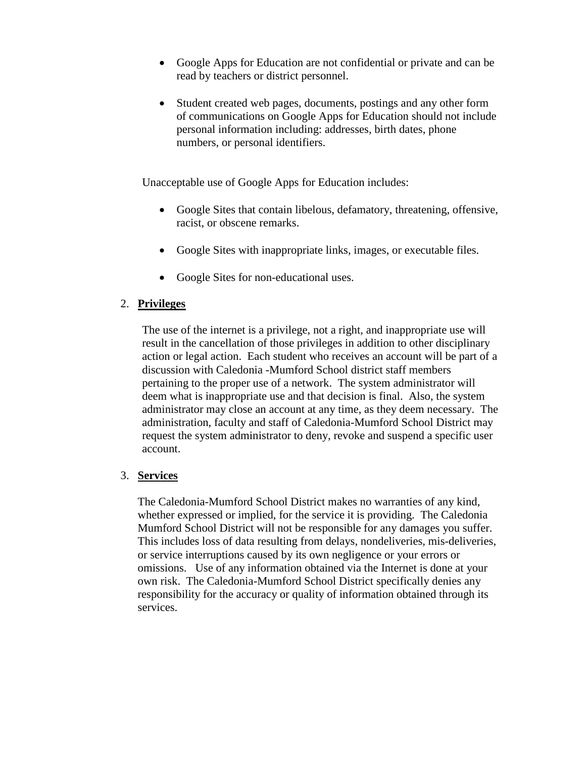- Google Apps for Education are not confidential or private and can be read by teachers or district personnel.
- Student created web pages, documents, postings and any other form of communications on Google Apps for Education should not include personal information including: addresses, birth dates, phone numbers, or personal identifiers.

Unacceptable use of Google Apps for Education includes:

- Google Sites that contain libelous, defamatory, threatening, offensive, racist, or obscene remarks.
- Google Sites with inappropriate links, images, or executable files.
- Google Sites for non-educational uses.

# 2. **Privileges**

The use of the internet is a privilege, not a right, and inappropriate use will result in the cancellation of those privileges in addition to other disciplinary action or legal action. Each student who receives an account will be part of a discussion with Caledonia -Mumford School district staff members pertaining to the proper use of a network. The system administrator will deem what is inappropriate use and that decision is final. Also, the system administrator may close an account at any time, as they deem necessary. The administration, faculty and staff of Caledonia-Mumford School District may request the system administrator to deny, revoke and suspend a specific user account.

# 3. **Services**

The Caledonia-Mumford School District makes no warranties of any kind, whether expressed or implied, for the service it is providing. The Caledonia Mumford School District will not be responsible for any damages you suffer. This includes loss of data resulting from delays, nondeliveries, mis-deliveries, or service interruptions caused by its own negligence or your errors or omissions. Use of any information obtained via the Internet is done at your own risk. The Caledonia-Mumford School District specifically denies any responsibility for the accuracy or quality of information obtained through its services.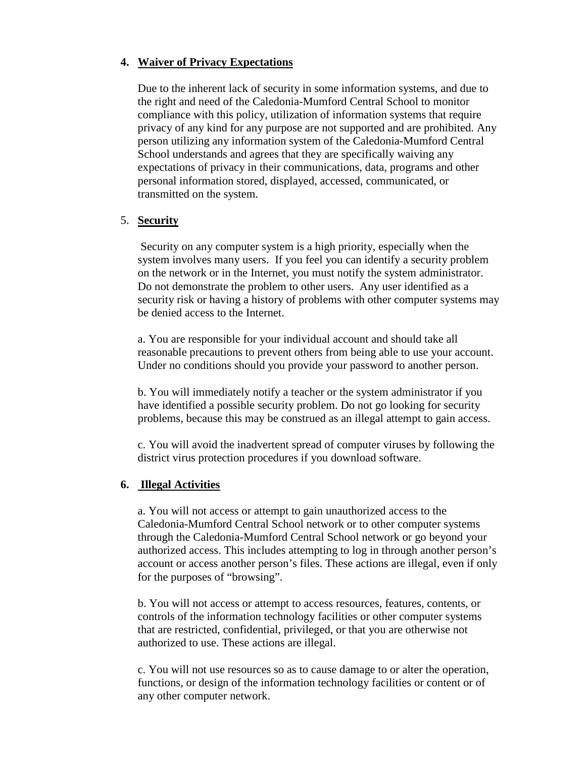#### **4. Waiver of Privacy Expectations**

Due to the inherent lack of security in some information systems, and due to the right and need of the Caledonia-Mumford Central School to monitor compliance with this policy, utilization of information systems that require privacy of any kind for any purpose are not supported and are prohibited. Any person utilizing any information system of the Caledonia-Mumford Central School understands and agrees that they are specifically waiving any expectations of privacy in their communications, data, programs and other personal information stored, displayed, accessed, communicated, or transmitted on the system.

# 5. **Security**

 Security on any computer system is a high priority, especially when the system involves many users. If you feel you can identify a security problem on the network or in the Internet, you must notify the system administrator. Do not demonstrate the problem to other users. Any user identified as a security risk or having a history of problems with other computer systems may be denied access to the Internet.

a. You are responsible for your individual account and should take all reasonable precautions to prevent others from being able to use your account. Under no conditions should you provide your password to another person.

b. You will immediately notify a teacher or the system administrator if you have identified a possible security problem. Do not go looking for security problems, because this may be construed as an illegal attempt to gain access.

c. You will avoid the inadvertent spread of computer viruses by following the district virus protection procedures if you download software.

# **6. Illegal Activities**

a. You will not access or attempt to gain unauthorized access to the Caledonia-Mumford Central School network or to other computer systems through the Caledonia-Mumford Central School network or go beyond your authorized access. This includes attempting to log in through another person's account or access another person's files. These actions are illegal, even if only for the purposes of "browsing".

b. You will not access or attempt to access resources, features, contents, or controls of the information technology facilities or other computer systems that are restricted, confidential, privileged, or that you are otherwise not authorized to use. These actions are illegal.

c. You will not use resources so as to cause damage to or alter the operation, functions, or design of the information technology facilities or content or of any other computer network.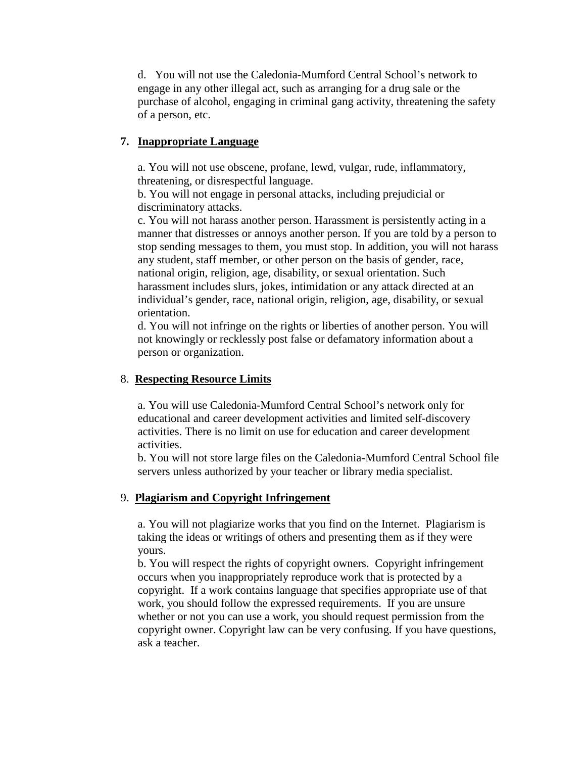d. You will not use the Caledonia-Mumford Central School's network to engage in any other illegal act, such as arranging for a drug sale or the purchase of alcohol, engaging in criminal gang activity, threatening the safety of a person, etc.

# **7. Inappropriate Language**

a. You will not use obscene, profane, lewd, vulgar, rude, inflammatory, threatening, or disrespectful language.

b. You will not engage in personal attacks, including prejudicial or discriminatory attacks.

c. You will not harass another person. Harassment is persistently acting in a manner that distresses or annoys another person. If you are told by a person to stop sending messages to them, you must stop. In addition, you will not harass any student, staff member, or other person on the basis of gender, race, national origin, religion, age, disability, or sexual orientation. Such harassment includes slurs, jokes, intimidation or any attack directed at an individual's gender, race, national origin, religion, age, disability, or sexual orientation.

d. You will not infringe on the rights or liberties of another person. You will not knowingly or recklessly post false or defamatory information about a person or organization.

# 8. **Respecting Resource Limits**

a. You will use Caledonia-Mumford Central School's network only for educational and career development activities and limited self-discovery activities. There is no limit on use for education and career development activities.

b. You will not store large files on the Caledonia-Mumford Central School file servers unless authorized by your teacher or library media specialist.

# 9. **Plagiarism and Copyright Infringement**

a. You will not plagiarize works that you find on the Internet. Plagiarism is taking the ideas or writings of others and presenting them as if they were yours.

b. You will respect the rights of copyright owners. Copyright infringement occurs when you inappropriately reproduce work that is protected by a copyright. If a work contains language that specifies appropriate use of that work, you should follow the expressed requirements. If you are unsure whether or not you can use a work, you should request permission from the copyright owner. Copyright law can be very confusing. If you have questions, ask a teacher.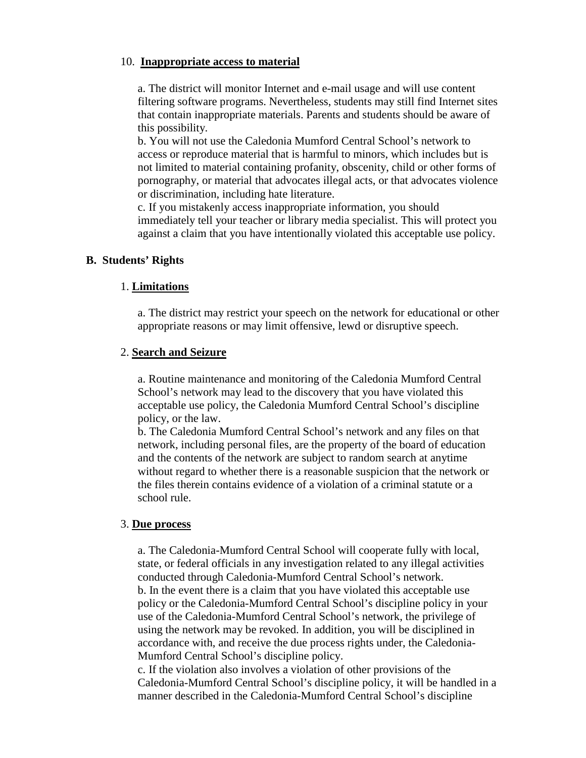#### 10. **Inappropriate access to material**

a. The district will monitor Internet and e-mail usage and will use content filtering software programs. Nevertheless, students may still find Internet sites that contain inappropriate materials. Parents and students should be aware of this possibility.

b. You will not use the Caledonia Mumford Central School's network to access or reproduce material that is harmful to minors, which includes but is not limited to material containing profanity, obscenity, child or other forms of pornography, or material that advocates illegal acts, or that advocates violence or discrimination, including hate literature.

c. If you mistakenly access inappropriate information, you should immediately tell your teacher or library media specialist. This will protect you against a claim that you have intentionally violated this acceptable use policy.

#### **B. Students' Rights**

#### 1. **Limitations**

a. The district may restrict your speech on the network for educational or other appropriate reasons or may limit offensive, lewd or disruptive speech.

#### 2. **Search and Seizure**

a. Routine maintenance and monitoring of the Caledonia Mumford Central School's network may lead to the discovery that you have violated this acceptable use policy, the Caledonia Mumford Central School's discipline policy, or the law.

b. The Caledonia Mumford Central School's network and any files on that network, including personal files, are the property of the board of education and the contents of the network are subject to random search at anytime without regard to whether there is a reasonable suspicion that the network or the files therein contains evidence of a violation of a criminal statute or a school rule.

#### 3. **Due process**

a. The Caledonia-Mumford Central School will cooperate fully with local, state, or federal officials in any investigation related to any illegal activities conducted through Caledonia-Mumford Central School's network. b. In the event there is a claim that you have violated this acceptable use policy or the Caledonia-Mumford Central School's discipline policy in your use of the Caledonia-Mumford Central School's network, the privilege of using the network may be revoked. In addition, you will be disciplined in accordance with, and receive the due process rights under, the Caledonia-Mumford Central School's discipline policy.

c. If the violation also involves a violation of other provisions of the Caledonia-Mumford Central School's discipline policy, it will be handled in a manner described in the Caledonia-Mumford Central School's discipline